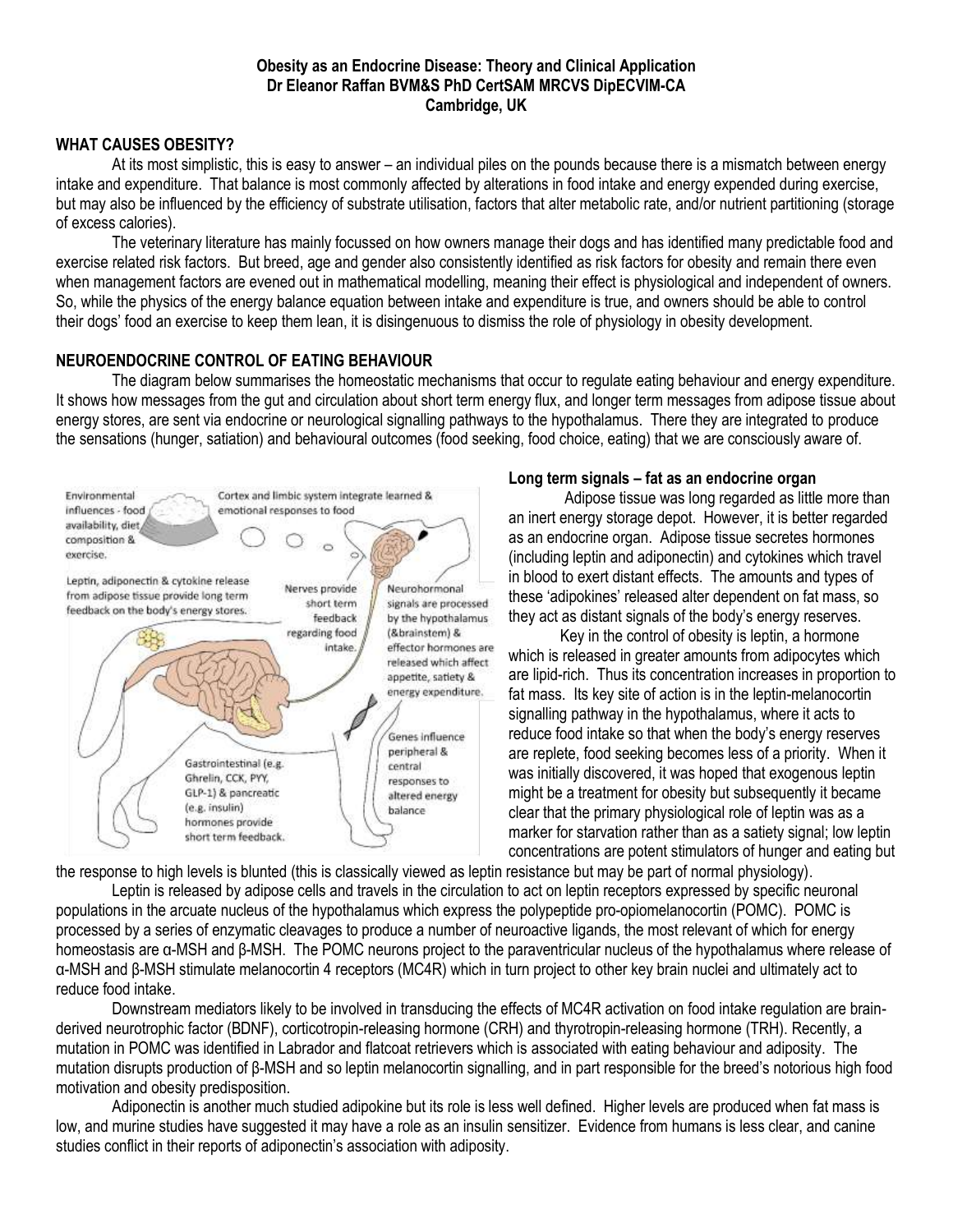### **Obesity as an Endocrine Disease: Theory and Clinical Application Dr Eleanor Raffan BVM&S PhD CertSAM MRCVS DipECVIM-CA Cambridge, UK**

## **WHAT CAUSES OBESITY?**

At its most simplistic, this is easy to answer – an individual piles on the pounds because there is a mismatch between energy intake and expenditure. That balance is most commonly affected by alterations in food intake and energy expended during exercise, but may also be influenced by the efficiency of substrate utilisation, factors that alter metabolic rate, and/or nutrient partitioning (storage of excess calories).

The veterinary literature has mainly focussed on how owners manage their dogs and has identified many predictable food and exercise related risk factors. But breed, age and gender also consistently identified as risk factors for obesity and remain there even when management factors are evened out in mathematical modelling, meaning their effect is physiological and independent of owners. So, while the physics of the energy balance equation between intake and expenditure is true, and owners should be able to control their dogs' food an exercise to keep them lean, it is disingenuous to dismiss the role of physiology in obesity development.

## **NEUROENDOCRINE CONTROL OF EATING BEHAVIOUR**

The diagram below summarises the homeostatic mechanisms that occur to regulate eating behaviour and energy expenditure. It shows how messages from the gut and circulation about short term energy flux, and longer term messages from adipose tissue about energy stores, are sent via endocrine or neurological signalling pathways to the hypothalamus. There they are integrated to produce the sensations (hunger, satiation) and behavioural outcomes (food seeking, food choice, eating) that we are consciously aware of.



#### **Long term signals – fat as an endocrine organ**

Adipose tissue was long regarded as little more than an inert energy storage depot. However, it is better regarded as an endocrine organ. Adipose tissue secretes hormones (including leptin and adiponectin) and cytokines which travel in blood to exert distant effects. The amounts and types of these 'adipokines' released alter dependent on fat mass, so they act as distant signals of the body's energy reserves.

Key in the control of obesity is leptin, a hormone which is released in greater amounts from adipocytes which are lipid-rich. Thus its concentration increases in proportion to fat mass. Its key site of action is in the leptin-melanocortin signalling pathway in the hypothalamus, where it acts to reduce food intake so that when the body's energy reserves are replete, food seeking becomes less of a priority. When it was initially discovered, it was hoped that exogenous leptin might be a treatment for obesity but subsequently it became clear that the primary physiological role of leptin was as a marker for starvation rather than as a satiety signal; low leptin concentrations are potent stimulators of hunger and eating but

the response to high levels is blunted (this is classically viewed as leptin resistance but may be part of normal physiology).

Leptin is released by adipose cells and travels in the circulation to act on leptin receptors expressed by specific neuronal populations in the arcuate nucleus of the hypothalamus which express the polypeptide pro-opiomelanocortin (POMC). POMC is processed by a series of enzymatic cleavages to produce a number of neuroactive ligands, the most relevant of which for energy homeostasis are α-MSH and β-MSH. The POMC neurons project to the paraventricular nucleus of the hypothalamus where release of α-MSH and β-MSH stimulate melanocortin 4 receptors (MC4R) which in turn project to other key brain nuclei and ultimately act to reduce food intake.

Downstream mediators likely to be involved in transducing the effects of MC4R activation on food intake regulation are brainderived neurotrophic factor (BDNF), corticotropin-releasing hormone (CRH) and thyrotropin-releasing hormone (TRH). Recently, a mutation in POMC was identified in Labrador and flatcoat retrievers which is associated with eating behaviour and adiposity. The mutation disrupts production of β-MSH and so leptin melanocortin signalling, and in part responsible for the breed's notorious high food motivation and obesity predisposition.

Adiponectin is another much studied adipokine but its role is less well defined. Higher levels are produced when fat mass is low, and murine studies have suggested it may have a role as an insulin sensitizer. Evidence from humans is less clear, and canine studies conflict in their reports of adiponectin's association with adiposity.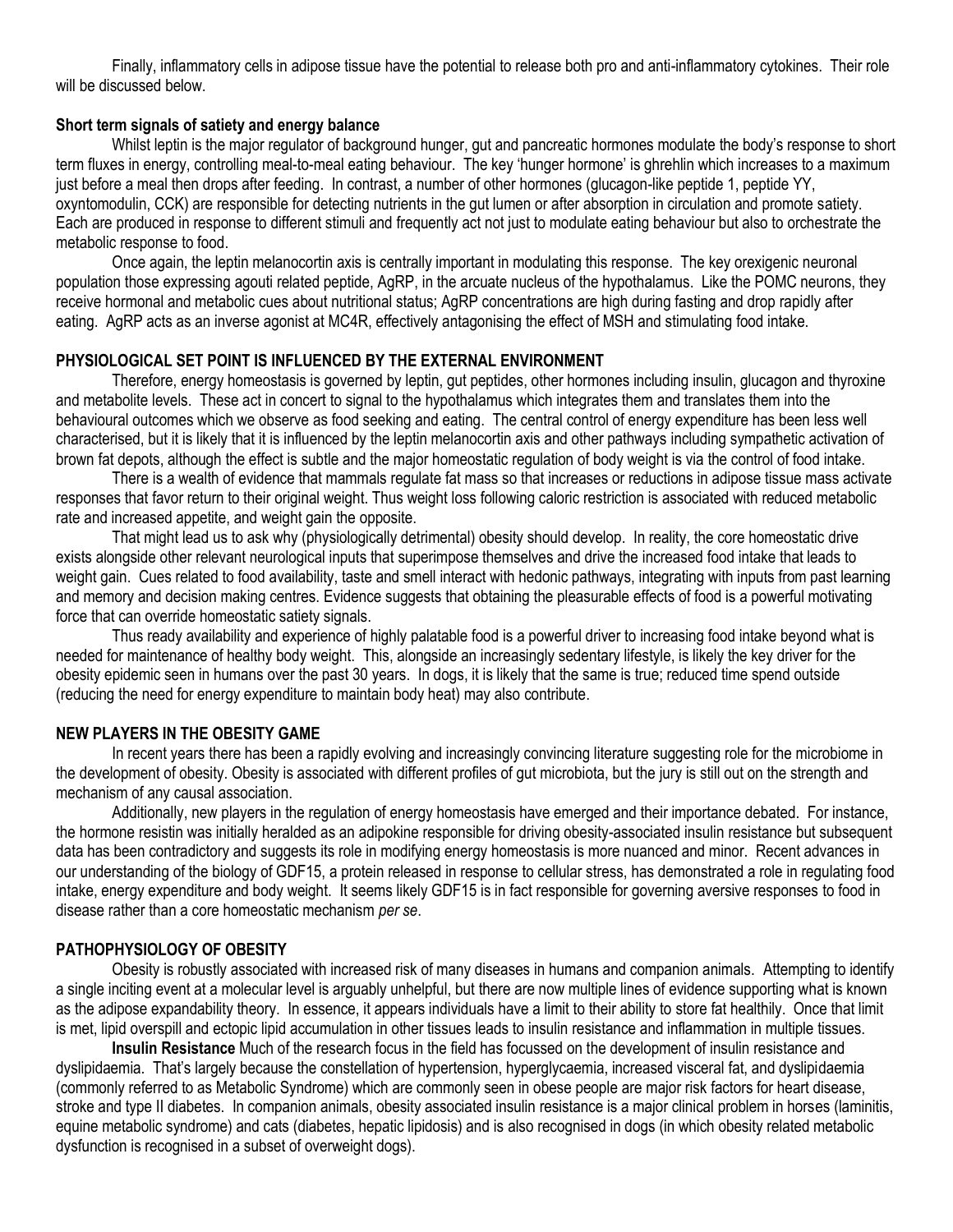Finally, inflammatory cells in adipose tissue have the potential to release both pro and anti-inflammatory cytokines. Their role will be discussed below.

## **Short term signals of satiety and energy balance**

Whilst leptin is the major regulator of background hunger, gut and pancreatic hormones modulate the body's response to short term fluxes in energy, controlling meal-to-meal eating behaviour. The key 'hunger hormone' is ghrehlin which increases to a maximum just before a meal then drops after feeding. In contrast, a number of other hormones (glucagon-like peptide 1, peptide YY, oxyntomodulin, CCK) are responsible for detecting nutrients in the gut lumen or after absorption in circulation and promote satiety. Each are produced in response to different stimuli and frequently act not just to modulate eating behaviour but also to orchestrate the metabolic response to food.

Once again, the leptin melanocortin axis is centrally important in modulating this response. The key orexigenic neuronal population those expressing agouti related peptide, AgRP, in the arcuate nucleus of the hypothalamus. Like the POMC neurons, they receive hormonal and metabolic cues about nutritional status; AgRP concentrations are high during fasting and drop rapidly after eating. AgRP acts as an inverse agonist at MC4R, effectively antagonising the effect of MSH and stimulating food intake.

## **PHYSIOLOGICAL SET POINT IS INFLUENCED BY THE EXTERNAL ENVIRONMENT**

Therefore, energy homeostasis is governed by leptin, gut peptides, other hormones including insulin, glucagon and thyroxine and metabolite levels. These act in concert to signal to the hypothalamus which integrates them and translates them into the behavioural outcomes which we observe as food seeking and eating. The central control of energy expenditure has been less well characterised, but it is likely that it is influenced by the leptin melanocortin axis and other pathways including sympathetic activation of brown fat depots, although the effect is subtle and the major homeostatic regulation of body weight is via the control of food intake.

There is a wealth of evidence that mammals regulate fat mass so that increases or reductions in adipose tissue mass activate responses that favor return to their original weight. Thus weight loss following caloric restriction is associated with reduced metabolic rate and increased appetite, and weight gain the opposite.

That might lead us to ask why (physiologically detrimental) obesity should develop. In reality, the core homeostatic drive exists alongside other relevant neurological inputs that superimpose themselves and drive the increased food intake that leads to weight gain. Cues related to food availability, taste and smell interact with hedonic pathways, integrating with inputs from past learning and memory and decision making centres. Evidence suggests that obtaining the pleasurable effects of food is a powerful motivating force that can override homeostatic satiety signals.

Thus ready availability and experience of highly palatable food is a powerful driver to increasing food intake beyond what is needed for maintenance of healthy body weight. This, alongside an increasingly sedentary lifestyle, is likely the key driver for the obesity epidemic seen in humans over the past 30 years. In dogs, it is likely that the same is true; reduced time spend outside (reducing the need for energy expenditure to maintain body heat) may also contribute.

### **NEW PLAYERS IN THE OBESITY GAME**

In recent years there has been a rapidly evolving and increasingly convincing literature suggesting role for the microbiome in the development of obesity. Obesity is associated with different profiles of gut microbiota, but the jury is still out on the strength and mechanism of any causal association.

Additionally, new players in the regulation of energy homeostasis have emerged and their importance debated. For instance, the hormone resistin was initially heralded as an adipokine responsible for driving obesity-associated insulin resistance but subsequent data has been contradictory and suggests its role in modifying energy homeostasis is more nuanced and minor. Recent advances in our understanding of the biology of GDF15, a protein released in response to cellular stress, has demonstrated a role in regulating food intake, energy expenditure and body weight. It seems likely GDF15 is in fact responsible for governing aversive responses to food in disease rather than a core homeostatic mechanism *per se*.

# **PATHOPHYSIOLOGY OF OBESITY**

Obesity is robustly associated with increased risk of many diseases in humans and companion animals. Attempting to identify a single inciting event at a molecular level is arguably unhelpful, but there are now multiple lines of evidence supporting what is known as the adipose expandability theory. In essence, it appears individuals have a limit to their ability to store fat healthily. Once that limit is met, lipid overspill and ectopic lipid accumulation in other tissues leads to insulin resistance and inflammation in multiple tissues.

**Insulin Resistance** Much of the research focus in the field has focussed on the development of insulin resistance and dyslipidaemia. That's largely because the constellation of hypertension, hyperglycaemia, increased visceral fat, and dyslipidaemia (commonly referred to as Metabolic Syndrome) which are commonly seen in obese people are major risk factors for heart disease, stroke and type II diabetes. In companion animals, obesity associated insulin resistance is a major clinical problem in horses (laminitis, equine metabolic syndrome) and cats (diabetes, hepatic lipidosis) and is also recognised in dogs (in which obesity related metabolic dysfunction is recognised in a subset of overweight dogs).